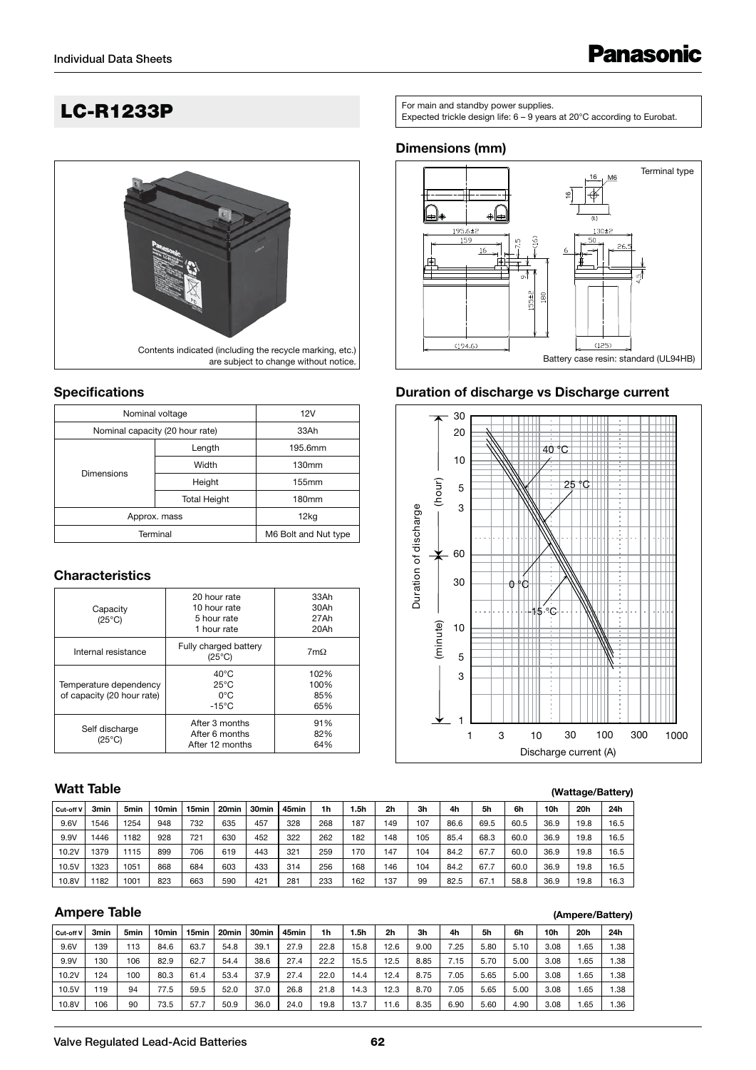

#### **Specifications**

| Nominal voltage                 | 12V                  |         |
|---------------------------------|----------------------|---------|
| Nominal capacity (20 hour rate) | 33Ah                 |         |
|                                 | Length               | 195.6mm |
|                                 | Width                | 130mm   |
| <b>Dimensions</b>               | Height               | 155mm   |
|                                 | <b>Total Height</b>  | 180mm   |
| Approx. mass                    | 12 <sub>kq</sub>     |         |
| Terminal                        | M6 Bolt and Nut type |         |

#### **Characteristics**

| Capacity<br>$(25^{\circ}C)$                          | 20 hour rate<br>10 hour rate<br>5 hour rate<br>1 hour rate           | 33Ah<br>30Ah<br>27Ah<br>20Ah | Dura |          | 10 |   |    | .15 °C  |
|------------------------------------------------------|----------------------------------------------------------------------|------------------------------|------|----------|----|---|----|---------|
| Internal resistance                                  | Fully charged battery<br>$(25^{\circ}C)$                             | $7m\Omega$                   |      | (minute) | 5  |   |    |         |
| Temperature dependency<br>of capacity (20 hour rate) | $40^{\circ}$ C<br>$25^{\circ}$ C<br>$0^{\circ}$ C<br>$-15^{\circ}$ C | 102%<br>100%<br>85%<br>65%   |      |          | 3  |   |    |         |
| Self discharge<br>$(25^{\circ}C)$                    | After 3 months<br>After 6 months<br>After 12 months                  | 91%<br>82%<br>64%            |      |          |    | 3 | 10 | Dischar |

#### **Watt Table**

|             | Watt Table |                  |                   |       |                   |       |       |     |     |                |                |      |      |      |      |      | (Wattage/Battery) |
|-------------|------------|------------------|-------------------|-------|-------------------|-------|-------|-----|-----|----------------|----------------|------|------|------|------|------|-------------------|
| l Cut-off V | 3min       | 5 <sub>min</sub> | 10 <sub>min</sub> | 15min | 20 <sub>min</sub> | 30min | 45min | 1h  | 5h  | 2 <sub>h</sub> | 3 <sub>h</sub> | 4h   | 5h   | 6h   | 10h  | 20h  | 24h               |
| 9.6V        | 1546       | 1254             | 948               | 732   | 635               | 457   | 328   | 268 | 187 | 149            | 107            | 86.6 | 69.5 | 60.5 | 36.9 | 19.8 | 16.5              |
| 9.9V        | 1446       | 182              | 928               | 721   | 630               | 452   | 322   | 262 | 182 | 148            | 105            | 85.4 | 68.3 | 60.0 | 36.9 | 19.8 | 16.5              |
| 10.2V       | 1379       | 1115             | 899               | 706   | 619               | 443   | 321   | 259 | 170 | 147            | 104            | 84.2 | 67.7 | 60.0 | 36.9 | 19.8 | 16.5              |
| 10.5V       | 1323       | 1051             | 868               | 684   | 603               | 433   | 314   | 256 | 168 | 146            | 104            | 84.2 | 67.7 | 60.0 | 36.9 | 19.8 | 16.5              |
| 10.8V       | 1182       | 1001             | 823               | 663   | 590               | 421   | 281   | 233 | 162 | 137            | 99             | 82.5 | 67.1 | 58.8 | 36.9 | 19.8 | 16.3              |

# **Ampere Table**

| (Ampere/Battery) |  |
|------------------|--|

|           |                  |                  |                   |                   |                   |                   |                   |      |      |                |      |      |      |      |      |     | .    |
|-----------|------------------|------------------|-------------------|-------------------|-------------------|-------------------|-------------------|------|------|----------------|------|------|------|------|------|-----|------|
| Cut-off V | 3 <sub>min</sub> | 5 <sub>min</sub> | 10 <sub>min</sub> | 15 <sub>min</sub> | 20 <sub>min</sub> | 30 <sub>min</sub> | 45 <sub>min</sub> | 1h   | l.5h | 2 <sub>h</sub> | 3h   | 4h   | 5h   | 6h   | 10h  | 20h | 24h  |
| 9.6V      | 139              | 113              | 84.6              | 63.7              | 54.8              | 39.1              | 27.9              | 22.8 | 15.8 | 12.6           | 9.00 | 7.25 | 5.80 | 5.10 | 3.08 | .65 | 1.38 |
| 9.9V      | 130              | 106              | 82.9              | 62.7              | 54.4              | 38.6              | 27.4              | 22.2 | 15.5 | 12.5           | 8.85 | 7.15 | 5.70 | 5.00 | 3.08 | .65 | 1.38 |
| 10.2V     | 124              | 100              | 80.3              | 61.4              | 53.4              | 37.9              | 27.4              | 22.0 | 14.4 | 12.4           | 8.75 | 7.05 | 5.65 | 5.00 | 3.08 | .65 | 1.38 |
| 10.5V     | 19               | 94               | 77.5              | 59.5              | 52.0              | 37.0              | 26.8              | 21.8 | 14.3 | 12.3           | 8.70 | 7.05 | 5.65 | 5.00 | 3.08 | .65 | 1.38 |
| 10.8V     | 106              | 90               | 73.5              | 57.7              | 50.9              | 36.0              | 24.0              | 19.8 | 13.7 | 1.6            | 8.35 | 6.90 | 5.60 | 4.90 | 3.08 | .65 | 1.36 |

**LC-R1233P** Expected trickle design life: 6 – 9 years at 20°C according to Eurobat.

#### **Dimensions (mm)**



#### **Duration of discharge vs Discharge current**